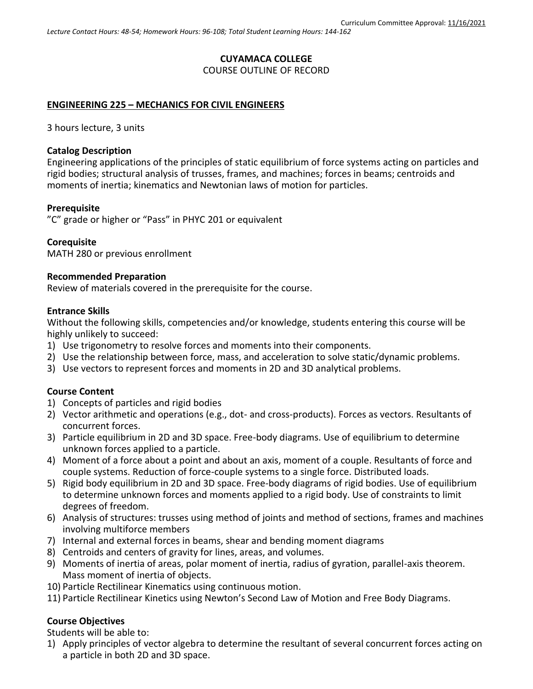### **CUYAMACA COLLEGE**

COURSE OUTLINE OF RECORD

## **ENGINEERING 225 – MECHANICS FOR CIVIL ENGINEERS**

3 hours lecture, 3 units

### **Catalog Description**

Engineering applications of the principles of static equilibrium of force systems acting on particles and rigid bodies; structural analysis of trusses, frames, and machines; forces in beams; centroids and moments of inertia; kinematics and Newtonian laws of motion for particles.

### **Prerequisite**

"C" grade or higher or "Pass" in PHYC 201 or equivalent

## **Corequisite**

MATH 280 or previous enrollment

#### **Recommended Preparation**

Review of materials covered in the prerequisite for the course.

#### **Entrance Skills**

Without the following skills, competencies and/or knowledge, students entering this course will be highly unlikely to succeed:

- 1) Use trigonometry to resolve forces and moments into their components.
- 2) Use the relationship between force, mass, and acceleration to solve static/dynamic problems.
- 3) Use vectors to represent forces and moments in 2D and 3D analytical problems.

#### **Course Content**

- 1) Concepts of particles and rigid bodies
- 2) Vector arithmetic and operations (e.g., dot- and cross-products). Forces as vectors. Resultants of concurrent forces.
- 3) Particle equilibrium in 2D and 3D space. Free-body diagrams. Use of equilibrium to determine unknown forces applied to a particle.
- 4) Moment of a force about a point and about an axis, moment of a couple. Resultants of force and couple systems. Reduction of force-couple systems to a single force. Distributed loads.
- 5) Rigid body equilibrium in 2D and 3D space. Free-body diagrams of rigid bodies. Use of equilibrium to determine unknown forces and moments applied to a rigid body. Use of constraints to limit degrees of freedom.
- 6) Analysis of structures: trusses using method of joints and method of sections, frames and machines involving multiforce members
- 7) Internal and external forces in beams, shear and bending moment diagrams
- 8) Centroids and centers of gravity for lines, areas, and volumes.
- 9) Moments of inertia of areas, polar moment of inertia, radius of gyration, parallel-axis theorem. Mass moment of inertia of objects.
- 10) Particle Rectilinear Kinematics using continuous motion.
- 11) Particle Rectilinear Kinetics using Newton's Second Law of Motion and Free Body Diagrams.

## **Course Objectives**

Students will be able to:

1) Apply principles of vector algebra to determine the resultant of several concurrent forces acting on a particle in both 2D and 3D space.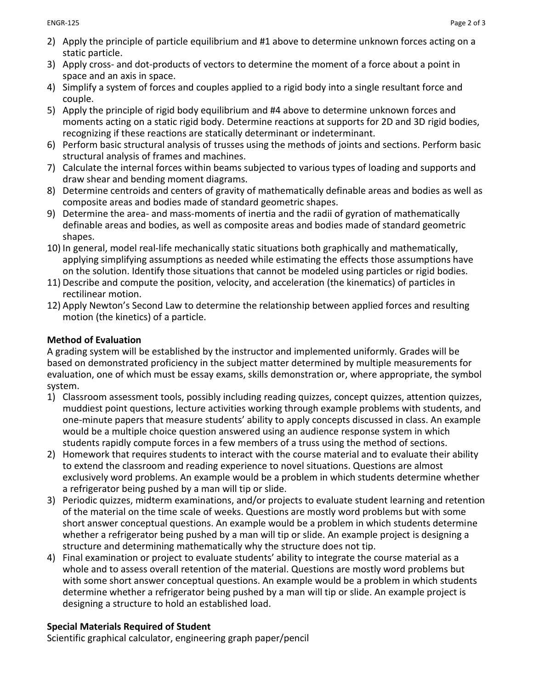- 2) Apply the principle of particle equilibrium and #1 above to determine unknown forces acting on a static particle.
- 3) Apply cross- and dot-products of vectors to determine the moment of a force about a point in space and an axis in space.
- 4) Simplify a system of forces and couples applied to a rigid body into a single resultant force and couple.
- 5) Apply the principle of rigid body equilibrium and #4 above to determine unknown forces and moments acting on a static rigid body. Determine reactions at supports for 2D and 3D rigid bodies, recognizing if these reactions are statically determinant or indeterminant.
- 6) Perform basic structural analysis of trusses using the methods of joints and sections. Perform basic structural analysis of frames and machines.
- 7) Calculate the internal forces within beams subjected to various types of loading and supports and draw shear and bending moment diagrams.
- 8) Determine centroids and centers of gravity of mathematically definable areas and bodies as well as composite areas and bodies made of standard geometric shapes.
- 9) Determine the area- and mass-moments of inertia and the radii of gyration of mathematically definable areas and bodies, as well as composite areas and bodies made of standard geometric shapes.
- 10) In general, model real-life mechanically static situations both graphically and mathematically, applying simplifying assumptions as needed while estimating the effects those assumptions have on the solution. Identify those situations that cannot be modeled using particles or rigid bodies.
- 11) Describe and compute the position, velocity, and acceleration (the kinematics) of particles in rectilinear motion.
- 12) Apply Newton's Second Law to determine the relationship between applied forces and resulting motion (the kinetics) of a particle.

# **Method of Evaluation**

A grading system will be established by the instructor and implemented uniformly. Grades will be based on demonstrated proficiency in the subject matter determined by multiple measurements for evaluation, one of which must be essay exams, skills demonstration or, where appropriate, the symbol system.

- 1) Classroom assessment tools, possibly including reading quizzes, concept quizzes, attention quizzes, muddiest point questions, lecture activities working through example problems with students, and one-minute papers that measure students' ability to apply concepts discussed in class. An example would be a multiple choice question answered using an audience response system in which students rapidly compute forces in a few members of a truss using the method of sections.
- 2) Homework that requires students to interact with the course material and to evaluate their ability to extend the classroom and reading experience to novel situations. Questions are almost exclusively word problems. An example would be a problem in which students determine whether a refrigerator being pushed by a man will tip or slide.
- 3) Periodic quizzes, midterm examinations, and/or projects to evaluate student learning and retention of the material on the time scale of weeks. Questions are mostly word problems but with some short answer conceptual questions. An example would be a problem in which students determine whether a refrigerator being pushed by a man will tip or slide. An example project is designing a structure and determining mathematically why the structure does not tip.
- 4) Final examination or project to evaluate students' ability to integrate the course material as a whole and to assess overall retention of the material. Questions are mostly word problems but with some short answer conceptual questions. An example would be a problem in which students determine whether a refrigerator being pushed by a man will tip or slide. An example project is designing a structure to hold an established load.

# **Special Materials Required of Student**

Scientific graphical calculator, engineering graph paper/pencil